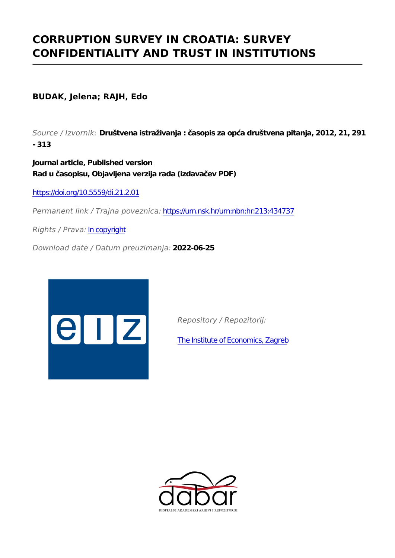# **CORRUPTION SURVEY IN CROATIA: SURVEY CONFIDENTIALITY AND TRUST IN INSTITUTIONS**

# **BUDAK, Jelena; RAJH, Edo**

*Source / Izvornik:* **Društvena istraživanja : časopis za opća društvena pitanja, 2012, 21, 291 - 313**

**Journal article, Published version Rad u časopisu, Objavljena verzija rada (izdavačev PDF)**

<https://doi.org/10.5559/di.21.2.01>

*Permanent link / Trajna poveznica:* <https://urn.nsk.hr/urn:nbn:hr:213:434737>

*Rights / Prava:* [In copyright](http://rightsstatements.org/vocab/InC/1.0/)

*Download date / Datum preuzimanja:* **2022-06-25**



*Repository / Repozitorij:*

[The Institute of Economics, Zagreb](https://repozitorij.eizg.hr)

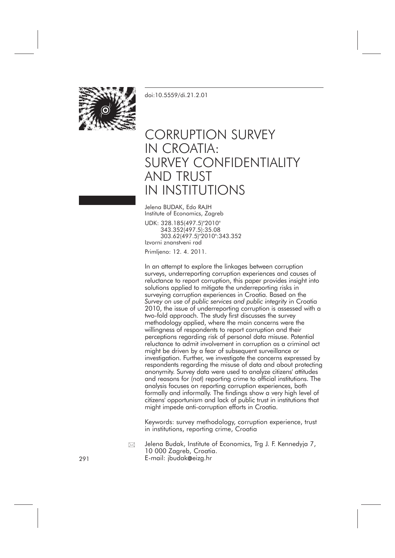

[doi:10.5559/di.21.2.01](http://dx.doi.org/10.5559/di.21.2.01)

# CORRUPTION SURVEY IN CROATIA: SURVEY CONFIDENTIALITY AND TRUST IN INSTITUTIONS

Jelena BUDAK, Edo RAJH Institute of Economics, Zagreb UDK: 328.185(497.5)"2010" 343.352(497.5):35.08 303.62(497.5)"2010":343.352 Izvorni znanstveni rad

Primljeno: 12. 4. 2011.

In an attempt to explore the linkages between corruption surveys, underreporting corruption experiences and causes of reluctance to report corruption, this paper provides insight into solutions applied to mitigate the underreporting risks in surveying corruption experiences in Croatia. Based on the *Survey on use of public services and public integrity* in Croatia 2010, the issue of underreporting corruption is assessed with a two-fold approach. The study first discusses the survey methodology applied, where the main concerns were the willingness of respondents to report corruption and their perceptions regarding risk of personal data misuse. Potential reluctance to admit involvement in corruption as a criminal act might be driven by a fear of subsequent surveillance or investigation. Further, we investigate the concerns expressed by respondents regarding the misuse of data and about protecting anonymity. Survey data were used to analyze citizens' attitudes and reasons for (not) reporting crime to official institutions. The analysis focuses on reporting corruption experiences, both formally and informally. The findings show a very high level of citizens' opportunism and lack of public trust in institutions that might impede anti-corruption efforts in Croatia.

Keywords: survey methodology, corruption experience, trust in institutions, reporting crime, Croatia

Jelena Budak, Institute of Economics, Trg J. F. Kennedyja 7, 10 000 Zagreb, Croatia. 291 E-mail: jbudak**@**eizg.hr  $\boxtimes$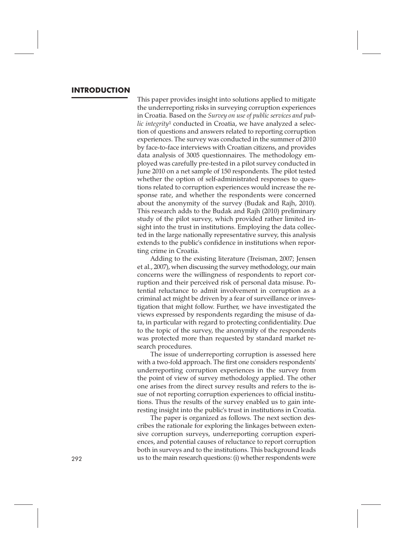# **INTRODUCTION**

This paper provides insight into solutions applied to mitigate the underreporting risks in surveying corruption experiences in Croatia. Based on the *Survey on use of public services and public integrity*<sup>1</sup> conducted in Croatia, we have analyzed a selection of questions and answers related to reporting corruption experiences. The survey was conducted in the summer of 2010 by face-to-face interviews with Croatian citizens, and provides data analysis of 3005 questionnaires. The methodology employed was carefully pre-tested in a pilot survey conducted in June 2010 on a net sample of 150 respondents. The pilot tested whether the option of self-administrated responses to questions related to corruption experiences would increase the response rate, and whether the respondents were concerned about the anonymity of the survey (Budak and Rajh, 2010). This research adds to the Budak and Rajh (2010) preliminary study of the pilot survey, which provided rather limited insight into the trust in institutions. Employing the data collected in the large nationally representative survey, this analysis extends to the public's confidence in institutions when reporting crime in Croatia.

Adding to the existing literature (Treisman, 2007; Jensen et al., 2007), when discussing the survey methodology, our main concerns were the willingness of respondents to report corruption and their perceived risk of personal data misuse. Potential reluctance to admit involvement in corruption as a criminal act might be driven by a fear of surveillance or investigation that might follow. Further, we have investigated the views expressed by respondents regarding the misuse of data, in particular with regard to protecting confidentiality. Due to the topic of the survey, the anonymity of the respondents was protected more than requested by standard market research procedures.

The issue of underreporting corruption is assessed here with a two-fold approach. The first one considers respondents' underreporting corruption experiences in the survey from the point of view of survey methodology applied. The other one arises from the direct survey results and refers to the issue of not reporting corruption experiences to official institutions. Thus the results of the survey enabled us to gain interesting insight into the public's trust in institutions in Croatia.

The paper is organized as follows. The next section describes the rationale for exploring the linkages between extensive corruption surveys, underreporting corruption experiences, and potential causes of reluctance to report corruption both in surveys and to the institutions. This background leads 292 us to the main research questions: (i) whether respondents were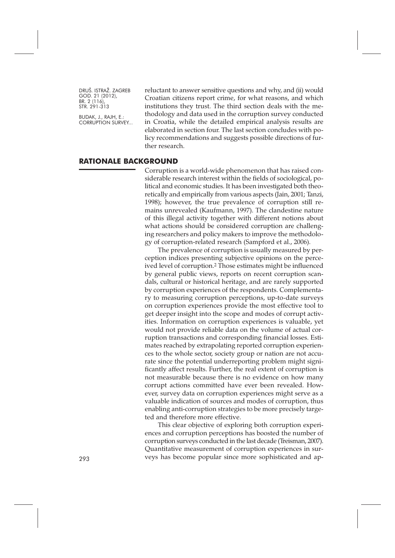BUDAK, J., RAJH, E.: CORRUPTION SURVEY... reluctant to answer sensitive questions and why, and (ii) would Croatian citizens report crime, for what reasons, and which institutions they trust. The third section deals with the methodology and data used in the corruption survey conducted in Croatia, while the detailed empirical analysis results are elaborated in section four. The last section concludes with policy recommendations and suggests possible directions of further research.

#### **RATIONALE BACKGROUND**

Corruption is a world-wide phenomenon that has raised considerable research interest within the fields of sociological, political and economic studies. It has been investigated both theoretically and empirically from various aspects (Jain, 2001; Tanzi, 1998); however, the true prevalence of corruption still remains unrevealed (Kaufmann, 1997). The clandestine nature of this illegal activity together with different notions about what actions should be considered corruption are challenging researchers and policy makers to improve the methodology of corruption-related research (Sampford et al., 2006).

The prevalence of corruption is usually measured by perception indices presenting subjective opinions on the perceived level of corruption.2 Those estimates might be influenced by general public views, reports on recent corruption scandals, cultural or historical heritage, and are rarely supported by corruption experiences of the respondents. Complementary to measuring corruption perceptions, up-to-date surveys on corruption experiences provide the most effective tool to get deeper insight into the scope and modes of corrupt activities. Information on corruption experiences is valuable, yet would not provide reliable data on the volume of actual corruption transactions and corresponding financial losses. Estimates reached by extrapolating reported corruption experiences to the whole sector, society group or nation are not accurate since the potential underreporting problem might significantly affect results. Further, the real extent of corruption is not measurable because there is no evidence on how many corrupt actions committed have ever been revealed. However, survey data on corruption experiences might serve as a valuable indication of sources and modes of corruption, thus enabling anti-corruption strategies to be more precisely targeted and therefore more effective.

This clear objective of exploring both corruption experiences and corruption perceptions has boosted the number of corruption surveys conducted in the last decade (Treisman, 2007). Quantitative measurement of corruption experiences in surveys has become popular since more sophisticated and ap- 293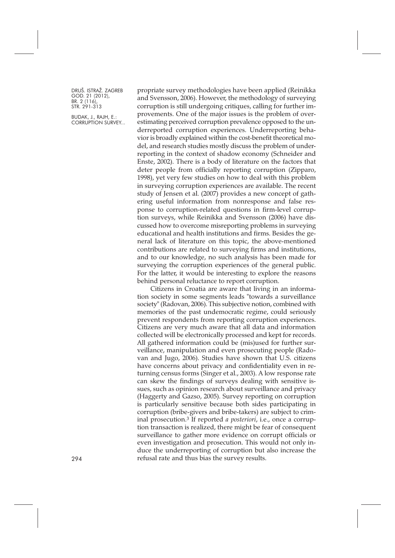BUDAK, J., RAJH, E.: CORRUPTION SURVEY...

propriate survey methodologies have been applied (Reinikka and Svensson, 2006). However, the methodology of surveying corruption is still undergoing critiques, calling for further improvements. One of the major issues is the problem of overestimating perceived corruption prevalence opposed to the underreported corruption experiences. Underreporting behavior is broadly explained within the cost-benefit theoretical model, and research studies mostly discuss the problem of underreporting in the context of shadow economy (Schneider and Enste, 2002). There is a body of literature on the factors that deter people from officially reporting corruption (Zipparo, 1998), yet very few studies on how to deal with this problem in surveying corruption experiences are available. The recent study of Jensen et al. (2007) provides a new concept of gathering useful information from nonresponse and false response to corruption-related questions in firm-level corruption surveys, while Reinikka and Svensson (2006) have discussed how to overcome misreporting problems in surveying educational and health institutions and firms. Besides the general lack of literature on this topic, the above-mentioned contributions are related to surveying firms and institutions, and to our knowledge, no such analysis has been made for surveying the corruption experiences of the general public. For the latter, it would be interesting to explore the reasons behind personal reluctance to report corruption.

Citizens in Croatia are aware that living in an information society in some segments leads "towards a surveillance society" (Radovan, 2006). This subjective notion, combined with memories of the past undemocratic regime, could seriously prevent respondents from reporting corruption experiences. Citizens are very much aware that all data and information collected will be electronically processed and kept for records. All gathered information could be (mis)used for further surveillance, manipulation and even prosecuting people (Radovan and Jugo, 2006). Studies have shown that U.S. citizens have concerns about privacy and confidentiality even in returning census forms (Singer et al., 2003). A low response rate can skew the findings of surveys dealing with sensitive issues, such as opinion research about surveillance and privacy (Haggerty and Gazso, 2005). Survey reporting on corruption is particularly sensitive because both sides participating in corruption (bribe-givers and bribe-takers) are subject to criminal prosecution.3 If reported *a posteriori*, i.e., once a corruption transaction is realized, there might be fear of consequent surveillance to gather more evidence on corrupt officials or even investigation and prosecution. This would not only induce the underreporting of corruption but also increase the 294 refusal rate and thus bias the survey results.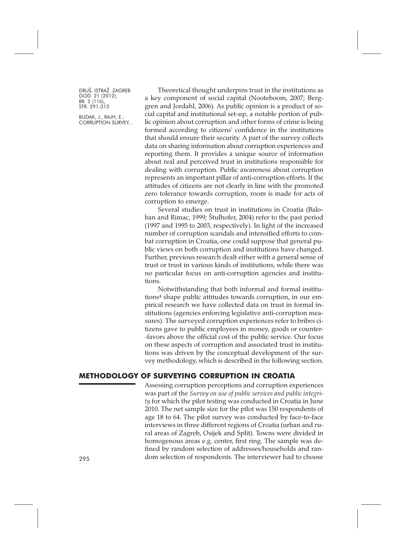BUDAK, J., RAJH, E.: CORRUPTION SURVEY...

Theoretical thought underpins trust in the institutions as a key component of social capital (Nooteboom, 2007; Berggren and Jordahl, 2006). As public opinion is a product of social capital and institutional set-up, a notable portion of public opinion about corruption and other forms of crime is being formed according to citizens' confidence in the institutions that should ensure their security. A part of the survey collects data on sharing information about corruption experiences and reporting them. It provides a unique source of information about real and perceived trust in institutions responsible for dealing with corruption. Public awareness about corruption represents an important pillar of anti-corruption efforts. If the attitudes of citizens are not clearly in line with the promoted zero tolerance towards corruption, room is made for acts of corruption to emerge.

Several studies on trust in institutions in Croatia (Baloban and Rimac, 1999; Štulhofer, 2004) refer to the past period (1997 and 1995 to 2003, respectively). In light of the increased number of corruption scandals and intensified efforts to combat corruption in Croatia, one could suppose that general public views on both corruption and institutions have changed. Further, previous research dealt either with a general sense of trust or trust in various kinds of institutions, while there was no particular focus on anti-corruption agencies and institutions.

Notwithstanding that both informal and formal institutions4 shape public attitudes towards corruption, in our empirical research we have collected data on trust in formal institutions (agencies enforcing legislative anti-corruption measures). The surveyed corruption experiences refer to bribes citizens gave to public employees in money, goods or counter- -favors above the official cost of the public service. Our focus on these aspects of corruption and associated trust in institutions was driven by the conceptual development of the survey methodology, which is described in the following section.

# **METHODOLOGY OF SURVEYING CORRUPTION IN CROATIA**

Assessing corruption perceptions and corruption experiences was part of the *Survey on use of public services and public integrity* for which the pilot testing was conducted in Croatia in June 2010. The net sample size for the pilot was 150 respondents of age 18 to 64. The pilot survey was conducted by face-to-face interviews in three different regions of Croatia (urban and rural areas of Zagreb, Osijek and Split). Towns were divided in homogenous areas e.g. center, first ring. The sample was defined by random selection of addresses/households and random selection of respondents. The interviewer had to choose 295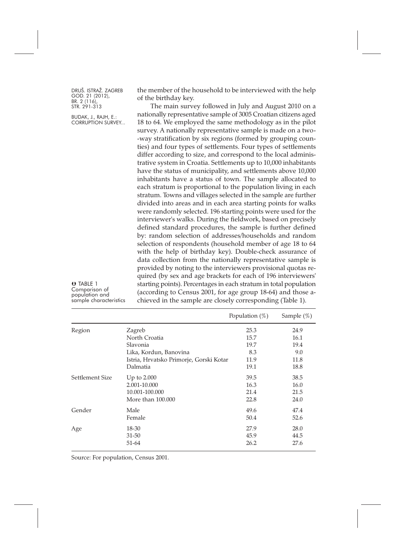BUDAK, J., RAJH, E.: CORRUPTION SURVEY... the member of the household to be interviewed with the help of the birthday key.

The main survey followed in July and August 2010 on a nationally representative sample of 3005 Croatian citizens aged 18 to 64. We employed the same methodology as in the pilot survey. A nationally representative sample is made on a two- -way stratification by six regions (formed by grouping counties) and four types of settlements. Four types of settlements differ according to size, and correspond to the local administrative system in Croatia. Settlements up to 10,000 inhabitants have the status of municipality, and settlements above 10,000 inhabitants have a status of town. The sample allocated to each stratum is proportional to the population living in each stratum. Towns and villages selected in the sample are further divided into areas and in each area starting points for walks were randomly selected. 196 starting points were used for the interviewer's walks. During the fieldwork, based on precisely defined standard procedures, the sample is further defined by: random selection of addresses/households and random selection of respondents (household member of age 18 to 64 with the help of birthday key). Double-check assurance of data collection from the nationally representative sample is provided by noting to the interviewers provisional quotas required (by sex and age brackets for each of 196 interviewers' starting points). Percentages in each stratum in total population (according to Census 2001, for age group 18-64) and those achieved in the sample are closely corresponding (Table 1).

O TABLE 1 Comparison of<br>population and sample characteristics

|                 |                                         | Population $(\%)$ | Sample $(\%)$ |
|-----------------|-----------------------------------------|-------------------|---------------|
| Region          | Zagreb                                  | 25.3              | 24.9          |
|                 | North Croatia                           | 15.7              | 16.1          |
|                 | Slavonia                                | 19.7              | 19.4          |
|                 | Lika, Kordun, Banovina                  | 8.3               | 9.0           |
|                 | Istria, Hrvatsko Primorje, Gorski Kotar | 11.9              | 11.8          |
|                 | Dalmatia                                | 19.1              | 18.8          |
| Settlement Size | Up to $2.000$                           | 39.5              | 38.5          |
|                 | 2.001-10.000                            | 16.3              | 16.0          |
|                 | 10.001-100.000                          | 21.4              | 21.5          |
|                 | More than 100,000                       | 22.8              | 24.0          |
| Gender          | Male                                    | 49.6              | 47.4          |
|                 | Female                                  | 50.4              | 52.6          |
| Age             | 18-30                                   | 27.9              | 28.0          |
|                 | $31 - 50$                               | 45.9              | 44.5          |
|                 | 51-64                                   | 26.2              | 27.6          |

Source: For population, Census 2001.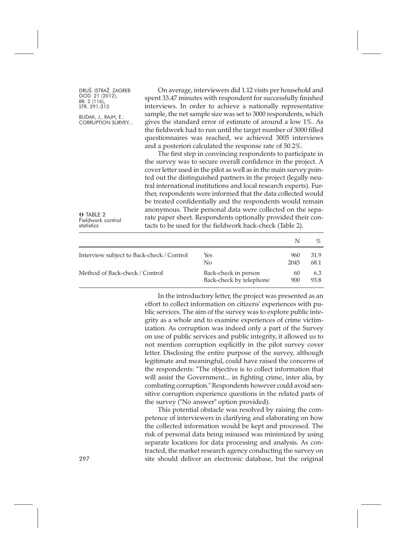| DRUŠ. ISTRAŽ. ZAGREB<br>GOD. 21 (2012),<br>BR. 2 (116),<br>STR. 291-313 | On average, interviewers did 1.12 visits per household and<br>spent 33.47 minutes with respondent for successfully finished<br>interviews. In order to achieve a nationally representative                                                                                                                                                                                                                                                                                                                                                                                                                                                                                                                                                                                                                                                                                                                                       |
|-------------------------------------------------------------------------|----------------------------------------------------------------------------------------------------------------------------------------------------------------------------------------------------------------------------------------------------------------------------------------------------------------------------------------------------------------------------------------------------------------------------------------------------------------------------------------------------------------------------------------------------------------------------------------------------------------------------------------------------------------------------------------------------------------------------------------------------------------------------------------------------------------------------------------------------------------------------------------------------------------------------------|
| BUDAK, J., RAJH, E.:<br><b>CORRUPTION SURVEY</b><br>O TABLE 2           | sample, the net sample size was set to 3000 respondents, which<br>gives the standard error of estimate of around a low 1%. As<br>the fieldwork had to run until the target number of 3000 filled<br>questionnaires was reached, we achieved 3005 interviews<br>and a posteriori calculated the response rate of 50.2%.<br>The first step in convincing respondents to participate in<br>the survey was to secure overall confidence in the project. A<br>cover letter used in the pilot as well as in the main survey poin-<br>ted out the distinguished partners in the project (legally neu-<br>tral international institutions and local research experts). Fur-<br>ther, respondents were informed that the data collected would<br>be treated confidentially and the respondents would remain<br>anonymous. Their personal data were collected on the sepa-<br>rate paper sheet. Respondents optionally provided their con- |
| Fieldwork control<br>statistics                                         | tacts to be used for the fieldwork back-check (Table 2).                                                                                                                                                                                                                                                                                                                                                                                                                                                                                                                                                                                                                                                                                                                                                                                                                                                                         |
|                                                                         | $\%$<br>N                                                                                                                                                                                                                                                                                                                                                                                                                                                                                                                                                                                                                                                                                                                                                                                                                                                                                                                        |

|                                           |                         |      | %    |
|-------------------------------------------|-------------------------|------|------|
| Interview subject to Back-check / Control | Yes                     | 960  | 31.9 |
|                                           | No                      | 2045 | 68.1 |
| Method of Back-check / Control            | Back-check in person    | 60   | 6.3  |
|                                           | Back-check by telephone | 900  | 93.8 |

In the introductory letter, the project was presented as an effort to collect information on citizens' experiences with public services. The aim of the survey was to explore public integrity as a whole and to examine experiences of crime victimization. As corruption was indeed only a part of the Survey on use of public services and public integrity, it allowed us to not mention corruption explicitly in the pilot survey cover letter. Disclosing the entire purpose of the survey, although legitimate and meaningful, could have raised the concerns of the respondents: "The objective is to collect information that will assist the Government... in fighting crime, inter alia, by combating corruption." Respondents however could avoid sensitive corruption experience questions in the related parts of the survey ("No answer" option provided).

This potential obstacle was resolved by raising the competence of interviewers in clarifying and elaborating on how the collected information would be kept and processed. The risk of personal data being misused was minimized by using separate locations for data processing and analysis. As contracted, the market research agency conducting the survey on 297 site should deliver an electronic database, but the original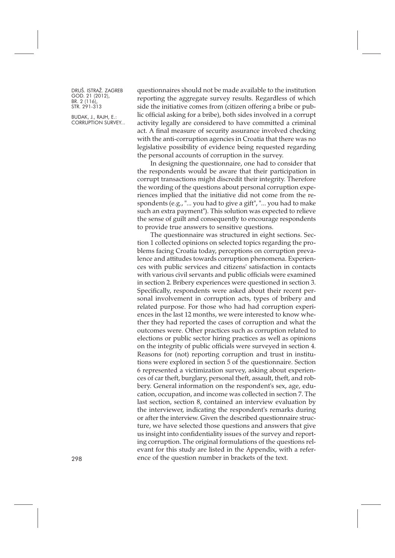BUDAK, J., RAJH, E.: CORRUPTION SURVEY... questionnaires should not be made available to the institution reporting the aggregate survey results. Regardless of which side the initiative comes from (citizen offering a bribe or public official asking for a bribe), both sides involved in a corrupt activity legally are considered to have committed a criminal act. A final measure of security assurance involved checking with the anti-corruption agencies in Croatia that there was no legislative possibility of evidence being requested regarding the personal accounts of corruption in the survey.

In designing the questionnaire, one had to consider that the respondents would be aware that their participation in corrupt transactions might discredit their integrity. Therefore the wording of the questions about personal corruption experiences implied that the initiative did not come from the respondents (e.g., "... you had to give a gift", "... you had to make such an extra payment"). This solution was expected to relieve the sense of guilt and consequently to encourage respondents to provide true answers to sensitive questions.

The questionnaire was structured in eight sections. Section 1 collected opinions on selected topics regarding the problems facing Croatia today, perceptions on corruption prevalence and attitudes towards corruption phenomena. Experiences with public services and citizens' satisfaction in contacts with various civil servants and public officials were examined in section 2. Bribery experiences were questioned in section 3. Specifically, respondents were asked about their recent personal involvement in corruption acts, types of bribery and related purpose. For those who had had corruption experiences in the last 12 months, we were interested to know whether they had reported the cases of corruption and what the outcomes were. Other practices such as corruption related to elections or public sector hiring practices as well as opinions on the integrity of public officials were surveyed in section 4. Reasons for (not) reporting corruption and trust in institutions were explored in section 5 of the questionnaire. Section 6 represented a victimization survey, asking about experiences of car theft, burglary, personal theft, assault, theft, and robbery. General information on the respondent's sex, age, education, occupation, and income was collected in section 7. The last section, section 8, contained an interview evaluation by the interviewer, indicating the respondent's remarks during or after the interview. Given the described questionnaire structure, we have selected those questions and answers that give us insight into confidentiality issues of the survey and reporting corruption. The original formulations of the questions relevant for this study are listed in the Appendix, with a refer-298 ence of the question number in brackets of the text.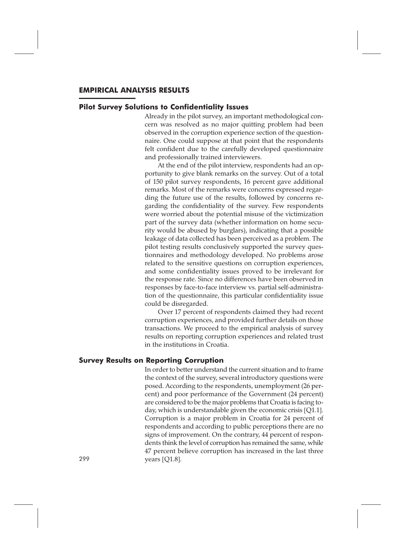## **EMPIRICAL ANALYSIS RESULTS**

#### **Pilot Survey Solutions to Confidentiality Issues**

Already in the pilot survey, an important methodological concern was resolved as no major quitting problem had been observed in the corruption experience section of the questionnaire. One could suppose at that point that the respondents felt confident due to the carefully developed questionnaire and professionally trained interviewers.

At the end of the pilot interview, respondents had an opportunity to give blank remarks on the survey. Out of a total of 150 pilot survey respondents, 16 percent gave additional remarks. Most of the remarks were concerns expressed regarding the future use of the results, followed by concerns regarding the confidentiality of the survey. Few respondents were worried about the potential misuse of the victimization part of the survey data (whether information on home security would be abused by burglars), indicating that a possible leakage of data collected has been perceived as a problem. The pilot testing results conclusively supported the survey questionnaires and methodology developed. No problems arose related to the sensitive questions on corruption experiences, and some confidentiality issues proved to be irrelevant for the response rate. Since no differences have been observed in responses by face-to-face interview vs. partial self-administration of the questionnaire, this particular confidentiality issue could be disregarded.

Over 17 percent of respondents claimed they had recent corruption experiences, and provided further details on those transactions. We proceed to the empirical analysis of survey results on reporting corruption experiences and related trust in the institutions in Croatia.

#### **Survey Results on Reporting Corruption**

In order to better understand the current situation and to frame the context of the survey, several introductory questions were posed. According to the respondents, unemployment (26 percent) and poor performance of the Government (24 percent) are considered to be the major problems that Croatia is facing today, which is understandable given the economic crisis [Q1.1]. Corruption is a major problem in Croatia for 24 percent of respondents and according to public perceptions there are no signs of improvement. On the contrary, 44 percent of respondents think the level of corruption has remained the same, while 47 percent believe corruption has increased in the last three 299 years [Q1.8].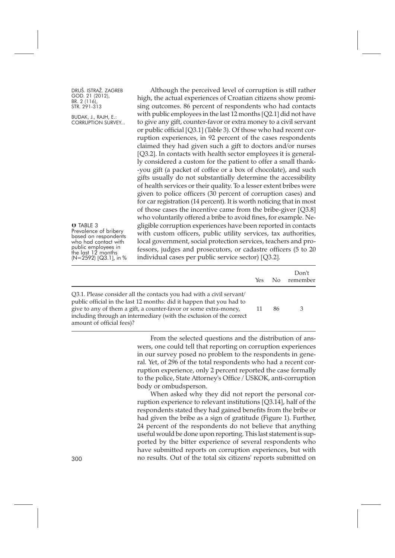| DRUŠ. ISTRAŽ. ZAGREB<br>GOD. 21 (2012),<br>BR. 2 (116),<br>STR. 291-313                                            | Although the perceived level of corruption is still rather<br>high, the actual experiences of Croatian citizens show promi-<br>sing outcomes. 86 percent of respondents who had contacts                                                                                                                                                                                                                                                                                                                                                                                                                                                                                                                                                                                                                                                                                                                                                                                                                                                  |
|--------------------------------------------------------------------------------------------------------------------|-------------------------------------------------------------------------------------------------------------------------------------------------------------------------------------------------------------------------------------------------------------------------------------------------------------------------------------------------------------------------------------------------------------------------------------------------------------------------------------------------------------------------------------------------------------------------------------------------------------------------------------------------------------------------------------------------------------------------------------------------------------------------------------------------------------------------------------------------------------------------------------------------------------------------------------------------------------------------------------------------------------------------------------------|
| BUDAK, J., RAJH, E.:<br><b>CORRUPTION SURVEY</b><br>O TABLE 3<br>Prevalence of bribery                             | with public employees in the last 12 months [Q2.1] did not have<br>to give any gift, counter-favor or extra money to a civil servant<br>or public official [Q3.1] (Table 3). Of those who had recent cor-<br>ruption experiences, in 92 percent of the cases respondents<br>claimed they had given such a gift to doctors and/or nurses<br>[Q3.2]. In contacts with health sector employees it is general-<br>ly considered a custom for the patient to offer a small thank-<br>-you gift (a packet of coffee or a box of chocolate), and such<br>gifts usually do not substantially determine the accessibility<br>of health services or their quality. To a lesser extent bribes were<br>given to police officers (30 percent of corruption cases) and<br>for car registration (14 percent). It is worth noticing that in most<br>of those cases the incentive came from the bribe-giver $[Q3.8]$<br>who voluntarily offered a bribe to avoid fines, for example. Ne-<br>gligible corruption experiences have been reported in contacts |
| based on respondents<br>who had contact with<br>public employees in<br>the last 12 months<br>(N=2592) [Q3.1], in % | with custom officers, public utility services, tax authorities,<br>local government, social protection services, teachers and pro-<br>fessors, judges and prosecutors, or cadastre officers (5 to 20<br>individual cases per public service sector) [Q3.2].                                                                                                                                                                                                                                                                                                                                                                                                                                                                                                                                                                                                                                                                                                                                                                               |
|                                                                                                                    |                                                                                                                                                                                                                                                                                                                                                                                                                                                                                                                                                                                                                                                                                                                                                                                                                                                                                                                                                                                                                                           |

|                                                                                                                                                                                                                                                                                                                      | Yes | $N_{\Omega}$ | Don't<br>remember |
|----------------------------------------------------------------------------------------------------------------------------------------------------------------------------------------------------------------------------------------------------------------------------------------------------------------------|-----|--------------|-------------------|
| Q3.1. Please consider all the contacts you had with a civil servant<br>public official in the last 12 months: did it happen that you had to<br>give to any of them a gift, a counter-favor or some extra-money,<br>including through an intermediary (with the exclusion of the correct<br>amount of official fees)? |     | 86           | 3                 |

From the selected questions and the distribution of answers, one could tell that reporting on corruption experiences in our survey posed no problem to the respondents in general. Yet, of 296 of the total respondents who had a recent corruption experience, only 2 percent reported the case formally to the police, State Attorney's Office / USKOK, anti-corruption body or ombudsperson.

When asked why they did not report the personal corruption experience to relevant institutions [Q3.14], half of the respondents stated they had gained benefits from the bribe or had given the bribe as a sign of gratitude (Figure 1). Further, 24 percent of the respondents do not believe that anything useful would be done upon reporting. This last statement is supported by the bitter experience of several respondents who have submitted reports on corruption experiences, but with 300 no results. Out of the total six citizens' reports submitted on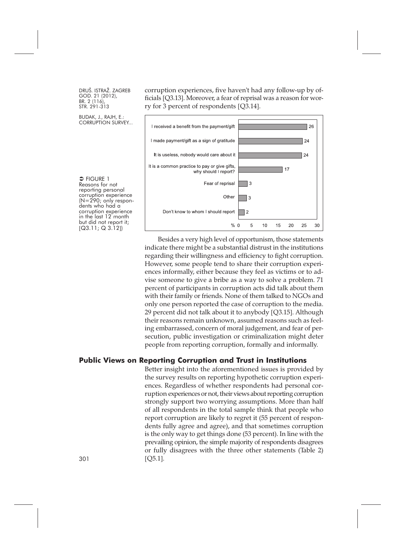BUDAK, J., RAJH, E.: CORRUPTION SURVEY...

**→ FIGURE 1** Reasons for not<br>reporting personal<br>corruption experience<br>(N=290; only respon-<br>dents who had a<br>corruption experience<br>in the last 12 month but did not report it; [Q3.11; Q 3.12])

corruption experiences, five haven't had any follow-up by officials [Q3.13]. Moreover, a fear of reprisal was a reason for worry for 3 percent of respondents [Q3.14].



Besides a very high level of opportunism, those statements indicate there might be a substantial distrust in the institutions regarding their willingness and efficiency to fight corruption. However, some people tend to share their corruption experiences informally, either because they feel as victims or to advise someone to give a bribe as a way to solve a problem. 71 percent of participants in corruption acts did talk about them with their family or friends. None of them talked to NGOs and only one person reported the case of corruption to the media. 29 percent did not talk about it to anybody [Q3.15]. Although their reasons remain unknown, assumed reasons such as feeling embarrassed, concern of moral judgement, and fear of persecution, public investigation or criminalization might deter people from reporting corruption, formally and informally.

#### **Public Views on Reporting Corruption and Trust in Institutions**

Better insight into the aforementioned issues is provided by the survey results on reporting hypothetic corruption experiences. Regardless of whether respondents had personal corruption experiences or not, their views about reporting corruption strongly support two worrying assumptions. More than half of all respondents in the total sample think that people who report corruption are likely to regret it (55 percent of respondents fully agree and agree), and that sometimes corruption is the only way to get things done (53 percent). In line with the prevailing opinion, the simple majority of respondents disagrees or fully disagrees with the three other statements (Table 2) 301 [Q5.1].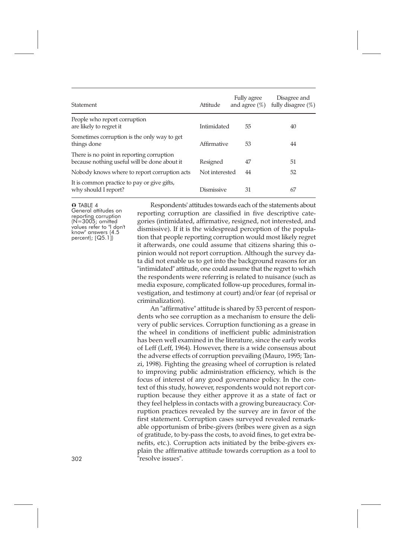| <b>Statement</b>                                                                          | Attitude          | Fully agree<br>and agree $(\%)$ | Disagree and<br>fully disagree $(\% )$ |
|-------------------------------------------------------------------------------------------|-------------------|---------------------------------|----------------------------------------|
| People who report corruption<br>are likely to regret it                                   | Intimidated       | 55                              | 40                                     |
| Sometimes corruption is the only way to get<br>things done                                | Affirmative       | 53                              | 44                                     |
| There is no point in reporting corruption<br>because nothing useful will be done about it | Resigned          | 47                              | 51                                     |
| Nobody knows where to report corruption acts                                              | Not interested    | 44                              | 52                                     |
| It is common practice to pay or give gifts,<br>why should I report?                       | <b>Dismissive</b> | 31                              | 67                                     |

**O** TABLE 4<br>General attitudes on reporting corruption<br>(N=3005; omitted values refer to "I don't<br>know" answers (4.5 percent);  $[Q5.1]$ 

Respondents' attitudes towards each of the statements about reporting corruption are classified in five descriptive categories (intimidated, affirmative, resigned, not interested, and dismissive). If it is the widespread perception of the population that people reporting corruption would most likely regret it afterwards, one could assume that citizens sharing this opinion would not report corruption. Although the survey data did not enable us to get into the background reasons for an "intimidated" attitude, one could assume that the regret to which the respondents were referring is related to nuisance (such as media exposure, complicated follow-up procedures, formal investigation, and testimony at court) and/or fear (of reprisal or criminalization).

An "affirmative" attitude is shared by 53 percent of respondents who see corruption as a mechanism to ensure the delivery of public services. Corruption functioning as a grease in the wheel in conditions of inefficient public administration has been well examined in the literature, since the early works of Leff (Leff, 1964). However, there is a wide consensus about the adverse effects of corruption prevailing (Mauro, 1995; Tanzi, 1998). Fighting the greasing wheel of corruption is related to improving public administration efficiency, which is the focus of interest of any good governance policy. In the context of this study, however, respondents would not report corruption because they either approve it as a state of fact or they feel helpless in contacts with a growing bureaucracy. Corruption practices revealed by the survey are in favor of the first statement. Corruption cases surveyed revealed remarkable opportunism of bribe-givers (bribes were given as a sign of gratitude, to by-pass the costs, to avoid fines, to get extra benefits, etc.). Corruption acts initiated by the bribe-givers explain the affirmative attitude towards corruption as a tool to 302 "resolve issues".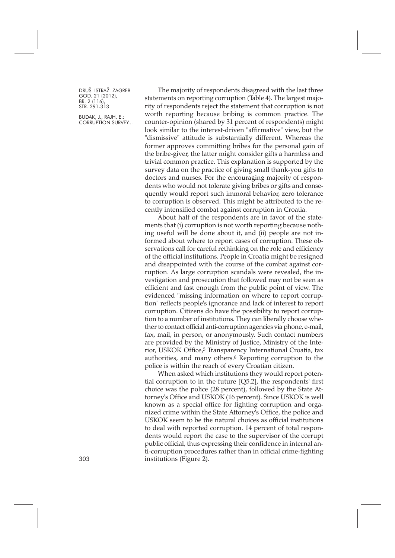BUDAK, J., RAJH, E.: CORRUPTION SURVEY...

The majority of respondents disagreed with the last three statements on reporting corruption (Table 4). The largest majority of respondents reject the statement that corruption is not worth reporting because bribing is common practice. The counter-opinion (shared by 31 percent of respondents) might look similar to the interest-driven "affirmative" view, but the "dismissive" attitude is substantially different. Whereas the former approves committing bribes for the personal gain of the bribe-giver, the latter might consider gifts a harmless and trivial common practice. This explanation is supported by the survey data on the practice of giving small thank-you gifts to doctors and nurses. For the encouraging majority of respondents who would not tolerate giving bribes or gifts and consequently would report such immoral behavior, zero tolerance to corruption is observed. This might be attributed to the recently intensified combat against corruption in Croatia.

About half of the respondents are in favor of the statements that (i) corruption is not worth reporting because nothing useful will be done about it, and (ii) people are not informed about where to report cases of corruption. These observations call for careful rethinking on the role and efficiency of the official institutions. People in Croatia might be resigned and disappointed with the course of the combat against corruption. As large corruption scandals were revealed, the investigation and prosecution that followed may not be seen as efficient and fast enough from the public point of view. The evidenced "missing information on where to report corruption" reflects people's ignorance and lack of interest to report corruption. Citizens do have the possibility to report corruption to a number of institutions. They can liberally choose whether to contact official anti-corruption agencies via phone, e-mail, fax, mail, in person, or anonymously. Such contact numbers are provided by the Ministry of Justice, Ministry of the Interior, USKOK Office,<sup>5</sup> Transparency International Croatia, tax authorities, and many others.6 Reporting corruption to the police is within the reach of every Croatian citizen.

When asked which institutions they would report potential corruption to in the future [Q5.2], the respondents' first choice was the police (28 percent), followed by the State Attorney's Office and USKOK (16 percent). Since USKOK is well known as a special office for fighting corruption and organized crime within the State Attorney's Office, the police and USKOK seem to be the natural choices as official institutions to deal with reported corruption. 14 percent of total respondents would report the case to the supervisor of the corrupt public official, thus expressing their confidence in internal anti-corruption procedures rather than in official crime-fighting 303 institutions (Figure 2).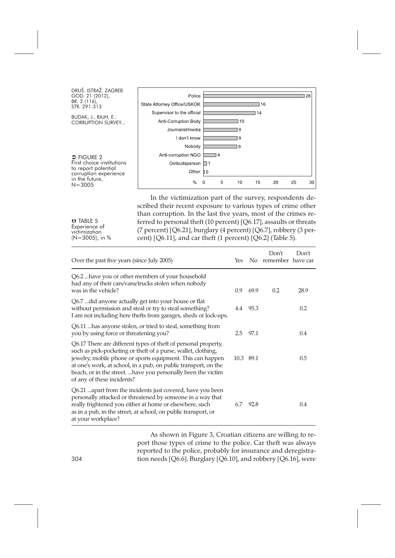

In the victimization part of the survey, respondents described their recent exposure to various types of crime other than corruption. In the last five years, most of the crimes referred to personal theft (10 percent) [Q6.17], assaults or threats (7 percent) [Q6.21], burglary (4 percent) [Q6.7], robbery (3 percent) [Q6.11], and car theft (1 percent) [Q6.2] (Table 5).

| Over the past five years (since July 2005)                                                                                                                                                                                                                                                                                                                      | Yes. |           | Don't<br>No remember have car | Don't |
|-----------------------------------------------------------------------------------------------------------------------------------------------------------------------------------------------------------------------------------------------------------------------------------------------------------------------------------------------------------------|------|-----------|-------------------------------|-------|
| Q6.2  have you or other members of your household<br>had any of their cars/vans/trucks stolen when nobody<br>was in the vehicle?                                                                                                                                                                                                                                | 0.9  | 69.9      | 0.2                           | 28.9  |
| Q6.7 did anyone actually get into your house or flat<br>without permission and steal or try to steal something?<br>I am not including here thefts from garages, sheds or lock-ups.                                                                                                                                                                              | 4.4  | - 95.3    |                               | 0.2   |
| Q6.11 has anyone stolen, or tried to steal, something from<br>you by using force or threatening you?                                                                                                                                                                                                                                                            | 2.5  | 97.1      |                               | 0.4   |
| Q6.17 There are different types of theft of personal property,<br>such as pick-pocketing or theft of a purse, wallet, clothing,<br>jewelry, mobile phone or sports equipment. This can happen<br>at one's work, at school, in a pub, on public transport, on the<br>beach, or in the street.  have you personally been the victim<br>of any of these incidents? |      | 10.3 89.1 |                               | 0.5   |
| Q6.21  apart from the incidents just covered, have you been<br>personally attacked or threatened by someone in a way that<br>really frightened you either at home or elsewhere, such<br>as in a pub, in the street, at school, on public transport, or<br>at your workplace?                                                                                    | 6.7  | 92.8      |                               | 0.4   |

As shown in Figure 3, Croatian citizens are willing to report those types of crime to the police. Car theft was always reported to the police, probably for insurance and deregistra-304 tion needs [Q6.6]. Burglary [Q6.10], and robbery [Q6.16], were

**O** TABLE 5<br>Experience of victimization (N=3005), in %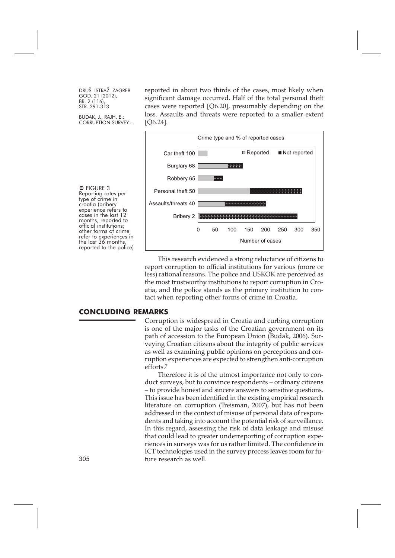BUDAK, J., RAJH, E.: CORRUPTION SURVEY... reported in about two thirds of the cases, most likely when significant damage occurred. Half of the total personal theft cases were reported [Q6.20], presumably depending on the loss. Assaults and threats were reported to a smaller extent [Q6.24].

Crime type and % of reported cases

LH

□ Reported

150

200

Number of cases

Not reported

350

250

300



 $\supset$  FIGURE 3 Reporting rates per<br>type of crime in<br>croatia (bribery<br>experience refers to<br>cases in the last 12<br>months, reported to<br>official institutions;<br>other forms of crime<br>refer to experiences in<br>the last 36 months,<br>reported to the po

> This research evidenced a strong reluctance of citizens to report corruption to official institutions for various (more or less) rational reasons. The police and USKOK are perceived as the most trustworthy institutions to report corruption in Croatia, and the police stands as the primary institution to contact when reporting other forms of crime in Croatia.

100

#### **CONCLUDING REMARKS**

Corruption is widespread in Croatia and curbing corruption is one of the major tasks of the Croatian government on its path of accession to the European Union (Budak, 2006). Surveying Croatian citizens about the integrity of public services as well as examining public opinions on perceptions and corruption experiences are expected to strengthen anti-corruption efforts.7

Therefore it is of the utmost importance not only to conduct surveys, but to convince respondents – ordinary citizens – to provide honest and sincere answers to sensitive questions. This issue has been identified in the existing empirical research literature on corruption (Treisman, 2007), but has not been addressed in the context of misuse of personal data of respondents and taking into account the potential risk of surveillance. In this regard, assessing the risk of data leakage and misuse that could lead to greater underreporting of corruption experiences in surveys was for us rather limited. The confidence in ICT technologies used in the survey process leaves room for fu-305 ture research as well.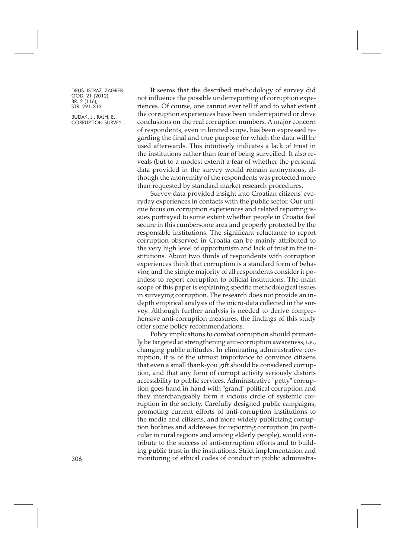BUDAK, J., RAJH, E.: CORRUPTION SURVEY...

It seems that the described methodology of survey did not influence the possible underreporting of corruption experiences. Of course, one cannot ever tell if and to what extent the corruption experiences have been underreported or drive conclusions on the real corruption numbers. A major concern of respondents, even in limited scope, has been expressed regarding the final and true purpose for which the data will be used afterwards. This intuitively indicates a lack of trust in the institutions rather than fear of being surveilled. It also reveals (but to a modest extent) a fear of whether the personal data provided in the survey would remain anonymous, although the anonymity of the respondents was protected more than requested by standard market research procedures.

Survey data provided insight into Croatian citizens' everyday experiences in contacts with the public sector. Our unique focus on corruption experiences and related reporting issues portrayed to some extent whether people in Croatia feel secure in this cumbersome area and properly protected by the responsible institutions. The significant reluctance to report corruption observed in Croatia can be mainly attributed to the very high level of opportunism and lack of trust in the institutions. About two thirds of respondents with corruption experiences think that corruption is a standard form of behavior, and the simple majority of all respondents consider it pointless to report corruption to official institutions. The main scope of this paper is explaining specific methodological issues in surveying corruption. The research does not provide an indepth empirical analysis of the micro-data collected in the survey. Although further analysis is needed to derive comprehensive anti-corruption measures, the findings of this study offer some policy recommendations.

Policy implications to combat corruption should primarily be targeted at strengthening anti-corruption awareness, i.e., changing public attitudes. In eliminating administrative corruption, it is of the utmost importance to convince citizens that even a small thank-you gift should be considered corruption, and that any form of corrupt activity seriously distorts accessibility to public services. Administrative "petty" corruption goes hand in hand with "grand" political corruption and they interchangeably form a vicious circle of systemic corruption in the society. Carefully designed public campaigns, promoting current efforts of anti-corruption institutions to the media and citizens, and more widely publicizing corruption hotlines and addresses for reporting corruption (in particular in rural regions and among elderly people), would contribute to the success of anti-corruption efforts and to building public trust in the institutions. Strict implementation and 306 monitoring of ethical codes of conduct in public administra-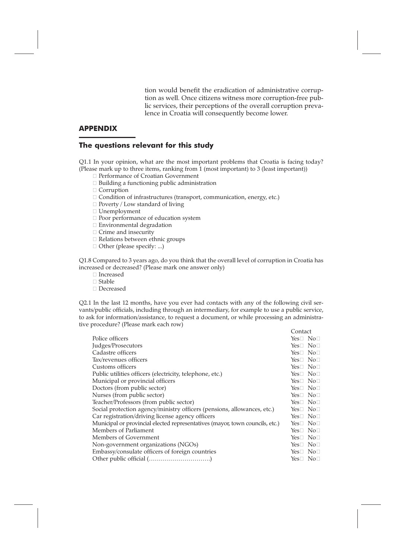tion would benefit the eradication of administrative corruption as well. Once citizens witness more corruption-free public services, their perceptions of the overall corruption prevalence in Croatia will consequently become lower.

## **APPENDIX**

## **The questions relevant for this study**

Q1.1 In your opinion, what are the most important problems that Croatia is facing today? (Please mark up to three items, ranking from 1 (most important) to 3 (least important))

Performance of Croatian Government Building a functioning public administration Corruption Condition of infrastructures (transport, communication, energy, etc.) Poverty / Low standard of living Unemployment Poor performance of education system Environmental degradation Crime and insecurity Relations between ethnic groups Other (please specify: ...)

Q1.8 Compared to 3 years ago, do you think that the overall level of corruption in Croatia has increased or decreased? (Please mark one answer only)

Increased Stable Decreased

Q2.1 In the last 12 months, have you ever had contacts with any of the following civil servants/public officials, including through an intermediary, for example to use a public service, to ask for information/assistance, to request a document, or while processing an administrative procedure? (Please mark each row) Contact

|                                                                              | COIHACL |                |
|------------------------------------------------------------------------------|---------|----------------|
| Police officers                                                              | Yes     | N <sub>0</sub> |
| Judges/Prosecutors                                                           | Yes     | N <sub>o</sub> |
| Cadastre officers                                                            | Yes.    | N <sub>0</sub> |
| Tax/revenues officers                                                        | Yes.    | N <sub>o</sub> |
| Customs officers                                                             | Yes.    | N <sub>o</sub> |
| Public utilities officers (electricity, telephone, etc.)                     | Yes.    | N <sub>o</sub> |
| Municipal or provincial officers                                             | Yes.    | N <sub>o</sub> |
| Doctors (from public sector)                                                 | Yes.    | N <sub>0</sub> |
| Nurses (from public sector)                                                  | Yes.    | N <sub>o</sub> |
| Teacher/Professors (from public sector)                                      | Yes     | N <sub>o</sub> |
| Social protection agency/ministry officers (pensions, allowances, etc.)      | Yes.    | N <sub>o</sub> |
| Car registration/driving license agency officers                             | Yes.    | N <sub>o</sub> |
| Municipal or provincial elected representatives (mayor, town councils, etc.) | Yes.    | N <sub>o</sub> |
| Members of Parliament                                                        | Yes     | N <sub>o</sub> |
| Members of Government                                                        | Yes     | N <sub>o</sub> |
| Non-government organizations (NGOs)                                          | Yes.    | N <sub>o</sub> |
| Embassy/consulate officers of foreign countries                              | Yes     | No.            |
|                                                                              | Yes     | N <sub>0</sub> |
|                                                                              |         |                |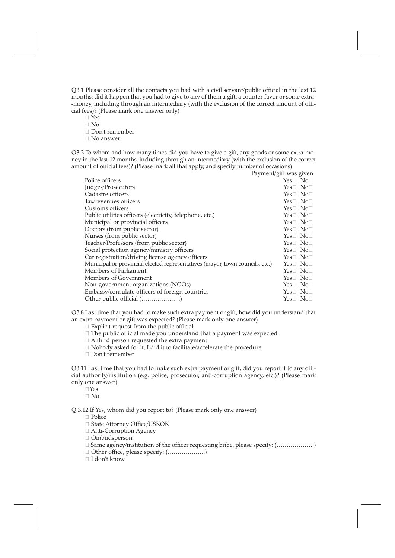Q3.1 Please consider all the contacts you had with a civil servant/public official in the last 12 months: did it happen that you had to give to any of them a gift, a counter-favor or some extra- -money, including through an intermediary (with the exclusion of the correct amount of official fees)? (Please mark one answer only)

Yes No Don't remember No answer

Q3.2 To whom and how many times did you have to give a gift, any goods or some extra-money in the last 12 months, including through an intermediary (with the exclusion of the correct amount of official fees)? (Please mark all that apply, and specify number of occasions)

|                                                                              | Payment/gift was given |                |
|------------------------------------------------------------------------------|------------------------|----------------|
| Police officers                                                              | Yes                    | N <sub>o</sub> |
| Judges/Prosecutors                                                           | Yes                    | N <sub>o</sub> |
| Cadastre officers                                                            | Yes                    | N <sub>o</sub> |
| Tax/revenues officers                                                        | Yes                    | N <sub>o</sub> |
| Customs officers                                                             | Yes.                   | N <sub>0</sub> |
| Public utilities officers (electricity, telephone, etc.)                     | Yes                    | N <sub>o</sub> |
| Municipal or provincial officers                                             | Yes                    | N <sub>0</sub> |
| Doctors (from public sector)                                                 | Yes                    | N <sub>0</sub> |
| Nurses (from public sector)                                                  | Yes                    | N <sub>0</sub> |
| Teacher/Professors (from public sector)                                      | Yes                    | N <sub>o</sub> |
| Social protection agency/ministry officers                                   | Yes                    | N <sub>o</sub> |
| Car registration/driving license agency officers                             | Yes                    | N <sub>o</sub> |
| Municipal or provincial elected representatives (mayor, town councils, etc.) | Yes                    | N <sub>o</sub> |
| Members of Parliament                                                        | Yes                    | N <sub>0</sub> |
| Members of Government                                                        | Yes                    | N <sub>o</sub> |
| Non-government organizations (NGOs)                                          | Yes                    | N <sub>o</sub> |
| Embassy/consulate officers of foreign countries                              | Yes                    | N <sub>o</sub> |
| Other public official ()                                                     | Yes                    | N <sub>0</sub> |

Q3.8 Last time that you had to make such extra payment or gift, how did you understand that an extra payment or gift was expected? (Please mark only one answer)

Explicit request from the public official

The public official made you understand that a payment was expected A third person requested the extra payment Nobody asked for it, I did it to facilitate/accelerate the procedure Don't remember

Q3.11 Last time that you had to make such extra payment or gift, did you report it to any official authority/institution (e.g. police, prosecutor, anti-corruption agency, etc.)? (Please mark only one answer)

Yes No

Q 3.12 If Yes, whom did you report to? (Please mark only one answer)

Police

State Attorney Office/USKOK Anti-Corruption Agency Ombudsperson Same agency/institution of the officer requesting bribe, please specify: (……………….) Other office, please specify: (……………….) I don't know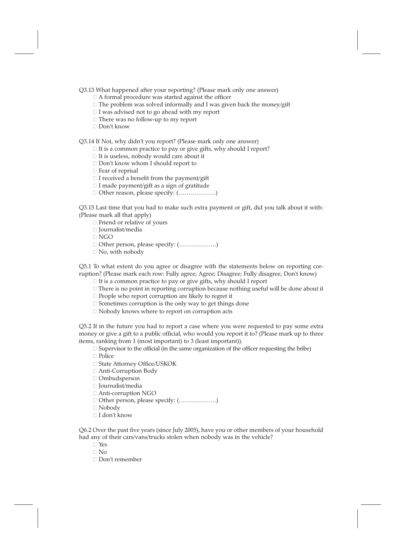Q3.13 What happened after your reporting? (Please mark only one answer) A formal procedure was started against the officer The problem was solved informally and I was given back the money/gift I was advised not to go ahead with my report There was no follow-up to my report Don't know

Q3.14 If Not, why didn't you report? (Please mark only one answer) It is a common practice to pay or give gifts, why should I report? It is useless, nobody would care about it Don't know whom I should report to Fear of reprisal I received a benefit from the payment/gift I made payment/gift as a sign of gratitude Other reason, please specify: (……………….)

Q3.15 Last time that you had to make such extra payment or gift, did you talk about it with: (Please mark all that apply)

Friend or relative of yours Journalist/media NGO Other person, please specify: (……………….) No, with nobody

Q5.1 To what extent do you agree or disagree with the statements below on reporting corruption? (Please mark each row: Fully agree; Agree; Disagree; Fully disagree, Don't know)

It is a common practice to pay or give gifts, why should I report

There is no point in reporting corruption because nothing useful will be done about it People who report corruption are likely to regret it

Sometimes corruption is the only way to get things done

Nobody knows where to report on corruption acts

Q5.2 If in the future you had to report a case where you were requested to pay some extra money or give a gift to a public official, who would you report it to? (Please mark up to three items, ranking from 1 (most important) to 3 (least important)).

Supervisor to the official (in the same organization of the officer requesting the bribe) Police

State Attorney Office/USKOK Anti-Corruption Body Ombudsperson Journalist/media Anti-corruption NGO Other person, please specify: (……………….) Nobody I don't know

Q6.2 Over the past five years (since July 2005), have you or other members of your household had any of their cars/vans/trucks stolen when nobody was in the vehicle?

Yes No Don't remember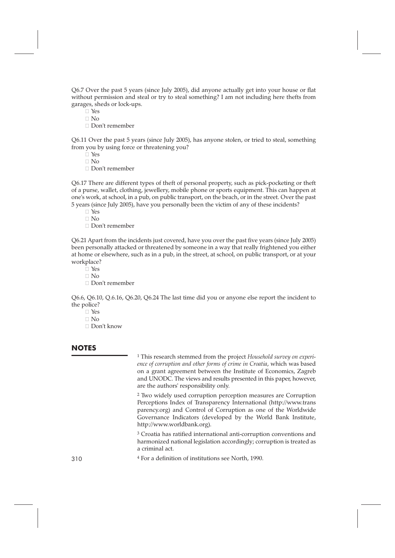Q6.7 Over the past 5 years (since July 2005), did anyone actually get into your house or flat without permission and steal or try to steal something? I am not including here thefts from garages, sheds or lock-ups.

Yes No Don't remember

Q6.11 Over the past 5 years (since July 2005), has anyone stolen, or tried to steal, something from you by using force or threatening you?

Yes No Don't remember

Q6.17 There are different types of theft of personal property, such as pick-pocketing or theft of a purse, wallet, clothing, jewellery, mobile phone or sports equipment. This can happen at one's work, at school, in a pub, on public transport, on the beach, or in the street. Over the past 5 years (since July 2005), have you personally been the victim of any of these incidents?

Yes No Don't remember

Q6.21 Apart from the incidents just covered, have you over the past five years (since July 2005) been personally attacked or threatened by someone in a way that really frightened you either at home or elsewhere, such as in a pub, in the street, at school, on public transport, or at your workplace?

Yes No Don't remember

Q6.6, Q6.10, Q.6.16, Q6.20, Q6.24 The last time did you or anyone else report the incident to the police?

Yes No Don't know

## **NOTES**

<sup>1</sup> This research stemmed from the project *Household survey on experience of corruption and other forms of crime in Croatia*, which was based on a grant agreement between the Institute of Economics, Zagreb and UNODC. The views and results presented in this paper, however, are the authors' responsibility only.

2 Two widely used corruption perception measures are Corruption Perceptions Index of Transparency International [\(http://www.trans](http://www.transparency.org) [parency.org\)](http://www.transparency.org) and Control of Corruption as one of the Worldwide Governance Indicators (developed by the World Bank Institute, [http://www.worldbank.org\)](http://www.worldbank.org).

3 Croatia has ratified international anti-corruption conventions and harmonized national legislation accordingly; corruption is treated as a criminal act.

310 <sup>4</sup> For a definition of institutions see North, 1990.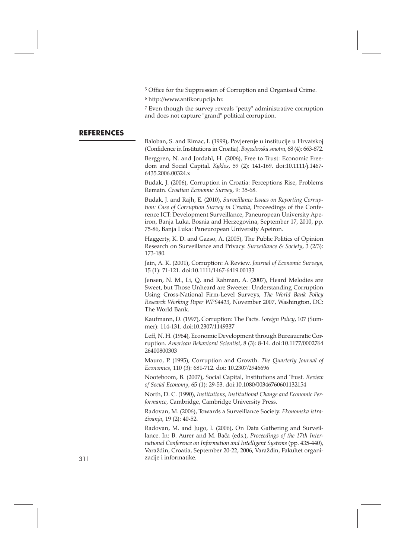5 Office for the Suppression of Corruption and Organised Crime.

6 http://www.antikorupcija.hr.

7 Even though the survey reveals "petty" administrative corruption and does not capture "grand" political corruption.

#### **REFERENCES**

Baloban, S. and Rimac, I. (1999), Povjerenje u institucije u Hrvatskoj (Confidence in Institutions in Croatia). *Bogoslovska smotra*, 68 (4): 663-672.

Berggren, N. and Jordahl, H. (2006), Free to Trust: Economic Freedom and Social Capital. *Kyklos*, 59 (2): 141-169. [doi:10.1111/j.1467-](http://dx.doi.org/10.1111/j.1467-6435.2006.00324.x) [6435.2006.00324.x](http://dx.doi.org/10.1111/j.1467-6435.2006.00324.x)

Budak, J. (2006), Corruption in Croatia: Perceptions Rise, Problems Remain. *Croatian Economic Survey*, 9: 35-68.

Budak, J. and Rajh, E. (2010), *Surveillance Issues on Reporting Corruption: Case of Corruption Survey in Croatia*, Proceedings of the Conference ICT: Development Surveillance, Paneuropean University Apeiron, Banja Luka, Bosnia and Herzegovina, September 17, 2010, pp. 75-86, Banja Luka: Paneuropean University Apeiron.

Haggerty, K. D. and Gazso, A. (2005), The Public Politics of Opinion Research on Surveillance and Privacy. *Surveillance & Society*, 3 (2/3): 173-180.

Jain, A. K. (2001), Corruption: A Review. *Journal of Economic Surveys*, 15 (1): 71-121. [doi:10.1111/1467-6419.00133](http://dx.doi.org/10.1111/1467-6419.00133)

Jensen, N. M., Li, Q. and Rahman, A. (2007), Heard Melodies are Sweet, but Those Unheard are Sweeter: Understanding Corruption Using Cross-National Firm-Level Surveys, *The World Bank Policy Research Working Paper WPS4413,* November 2007, Washington, DC: The World Bank.

Kaufmann, D. (1997), Corruption: The Facts. *Foreign Policy*, 107 (Summer): 114-131. [doi:10.2307/1149337](http://dx.doi.org/10.2307/1149337)

Leff, N. H. (1964), Economic Development through Bureaucratic Corruption. *American Behavioral Scientist*, 8 (3): 8-14. [doi:10.1177/0002764](http://dx.doi.org/10.1177/000276426400800303) [26400800303](http://dx.doi.org/10.1177/000276426400800303)

Mauro, P. (1995), Corruption and Growth. *The Quarterly Journal of Economics*, 110 (3): 681-712. doi: 10.2307/2946696

Nooteboom, B. (2007), Social Capital, Institutions and Trust. *Review of Social Economy*, 65 (1): 29-53. [doi:10.1080/00346760601132154](http://dx.doi.org/10.1080/00346760601132154)

North, D. C. (1990), *Institutions, Institutional Change and Economic Performance*, Cambridge, Cambridge University Press.

Radovan, M. (2006), Towards a Surveillance Society. *Ekonomska istraživanja*, 19 (2): 40-52.

Radovan, M. and Jugo, I. (2006), On Data Gathering and Surveillance. In: B. Aurer and M. Bača (eds.), *Proceedings of the 17th International Conference on Information and Intelligent Systems* (pp. 435-440), Varaždin, Croatia, September 20-22, 2006, Varaždin, Fakultet organi-311 zacije i informatike.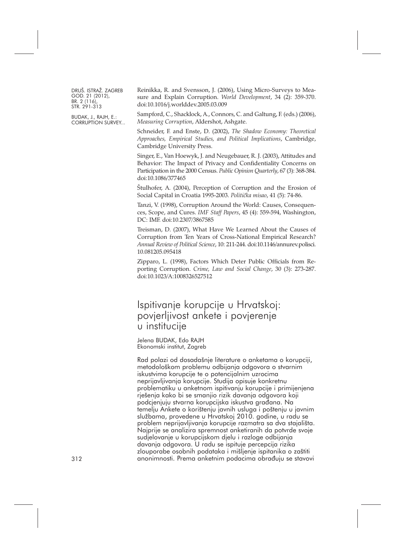BUDAK, J., RAJH, E.: CORRUPTION SURVEY... Reinikka, R. and Svensson, J. (2006), Using Micro-Surveys to Measure and Explain Corruption. *World Development*, 34 (2): 359-370. [doi:10.1016/j.worlddev.2005.03.009](http://dx.doi.org/10.1016/j.worlddev.2005.03.009)

Sampford, C., Shacklock, A., Connors, C. and Galtung, F. (eds.) (2006), *Measuring Corruption*, Aldershot, Ashgate.

Schneider, F. and Enste, D. (2002), *The Shadow Economy: Theoretical Approaches, Empirical Studies, and Political Implications*, Cambridge, Cambridge University Press.

Singer, E., Van Hoewyk, J. and Neugebauer, R. J. (2003), Attitudes and Behavior: The Impact of Privacy and Confidentiality Concerns on Participation in the 2000 Census. *Public Opinion Quarterly*, 67 (3): 368-384. [doi:10.1086/377465](http://dx.doi.org/10.1086/377465)

Štulhofer, A. (2004), Perception of Corruption and the Erosion of Social Capital in Croatia 1995-2003. *Politička misao*, 41 (5): 74-86.

Tanzi, V. (1998), Corruption Around the World: Causes, Consequences, Scope, and Cures. *IMF Staff Papers*, 45 (4): 559-594, Washington, DC: IMF. [doi:10.2307/3867585](http://dx.doi.org/10.2307/3867585)

Treisman, D. (2007), What Have We Learned About the Causes of Corruption from Ten Years of Cross-National Empirical Research? *Annual Review of Political Science*, 10: 211-244. [doi:10.1146/annurev.polisci.](http://dx.doi.org/10.1146/annurev.polisci.10.081205.095418) [10.081205.095418](http://dx.doi.org/10.1146/annurev.polisci.10.081205.095418)

Zipparo, L. (1998), Factors Which Deter Public Officials from Reporting Corruption. *Crime, Law and Social Change*, 30 (3): 273-287. [doi:10.1023/A:1008326527512](http://dx.doi.org/10.1023/A:1008326527512)

# Ispitivanje korupcije u Hrvatskoj: povjerljivost ankete i povjerenje u institucije

Jelena BUDAK, Edo RAJH Ekonomski institut, Zagreb

Rad polazi od dosadašnje literature o anketama o korupciji, metodološkom problemu odbijanja odgovora o stvarnim iskustvima korupcije te o potencijalnim uzrocima neprijavljivanja korupcije. Studija opisuje konkretnu problematiku u anketnom ispitivanju korupcije i primijenjena rješenja kako bi se smanjio rizik davanja odgovora koji podcjenjuju stvarna korupcijska iskustva građana. Na temelju Ankete o korištenju javnih usluga i poštenju u javnim službama, provedene u Hrvatskoj 2010. godine, u radu se problem neprijavljivanja korupcije razmatra sa dva stajališta. Najprije se analizira spremnost anketiranih da potvrde svoje sudjelovanje u korupcijskom djelu i razloge odbijanja davanja odgovora. U radu se ispituje percepcija rizika zlouporabe osobnih podataka i mišljenje ispitanika o zaštiti 312 anonimnosti. Prema anketnim podacima obrađuju se stavovi